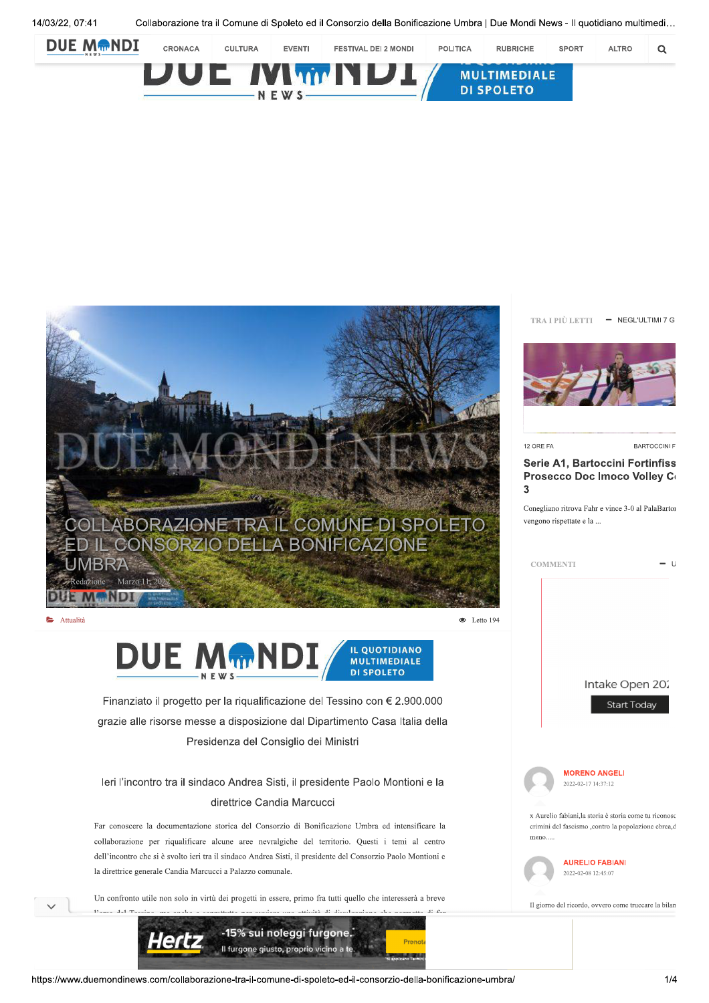

Collaborazione tra il Comune di Spoleto ed il Consorzio della Bonificazione Umbra | Due Mondi News - Il quotidiano multimedi...





TRA I PIÙ LETTI - NEGL'ULTIMI 7 G



12 ORE FA

BARTOCCINI F

## Serie A1, Bartoccini Fortinfiss Prosecco Doc Imoco Volley Co  $\overline{3}$

Conegliano ritrova Fahr e vince 3-0 al PalaBartor vengono rispettate e la ...

| <b>COMMENTI</b> | $-U$ |
|-----------------|------|
|-----------------|------|

DUE MMND **IL QUOTIDIANO MULTIMEDIALE** 

**DI SPOLETO** 

Finanziato il progetto per la riqualificazione del Tessino con € 2.900.000 grazie alle risorse messe a disposizione dal Dipartimento Casa Italia della Presidenza del Consiglio dei Ministri

## leri l'incontro tra il sindaco Andrea Sisti, il presidente Paolo Montioni e la direttrice Candia Marcucci

Far conoscere la documentazione storica del Consorzio di Bonificazione Umbra ed intensificare la collaborazione per riqualificare alcune aree nevralgiche del territorio. Questi i temi al centro dell'incontro che si è svolto ieri tra il sindaco Andrea Sisti, il presidente del Consorzio Paolo Montioni e la direttrice generale Candia Marcucci a Palazzo comunale.

Un confronto utile non solo in virtù dei progetti in essere, primo fra tutti quello che interesserà a breve  $1^{\circ}$   $c$ 



Intake Open 202

Start Today



x Aurelio fabiani, la storia è storia come tu riconosc crimini del fascismo ,contro la popolazione ebrea,d meno...

> **AURELIO FABIANI** 2022-02-08 12:45:07

Il giorno del ricordo, ovvero come truccare la bilan